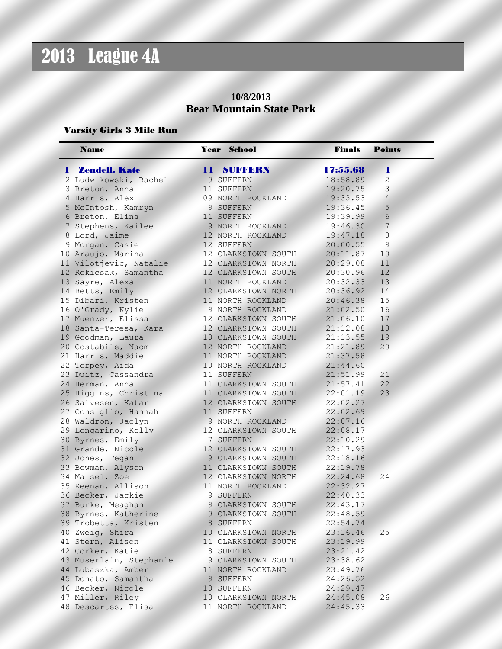### **10/8/2013 Bear Mountain State Park**

#### Varsity Girls 3 Mile Run

| <b>Name</b>             | <b>Year School</b>  | <b>Finals</b> | <b>Points</b>  |
|-------------------------|---------------------|---------------|----------------|
| <b>1 Zendell, Kate</b>  | 11 SUFFERN          | 17:55.68      | 4              |
| 2 Ludwikowski, Rachel   | 9 SUFFERN           | 18:58.89      | $\overline{c}$ |
| 3 Breton, Anna          | 11 SUFFERN          | 19:20.75      | 3              |
| 4 Harris, Alex          | 09 NORTH ROCKLAND   | 19:33.53      | $\overline{4}$ |
| 5 McIntosh, Kamryn      | 9 SUFFERN           | 19:36.45      | 5              |
| 6 Breton, Elina         | 11 SUFFERN          | 19:39.99      | $\sqrt{6}$     |
| 7 Stephens, Kailee      | 9 NORTH ROCKLAND    | 19:46.30      | $\overline{7}$ |
| 8 Lord, Jaime           | 12 NORTH ROCKLAND   | 19:47.18      | $\delta$       |
| 9 Morgan, Casie         | 12 SUFFERN          | 20:00.55      | $\mathsf 9$    |
| 10 Araujo, Marina       | 12 CLARKSTOWN SOUTH | 20:11.87      | 10             |
| 11 Vilotjevic, Natalie  | 12 CLARKSTOWN NORTH | 20:29.08      | 11             |
| 12 Rokicsak, Samantha   | 12 CLARKSTOWN SOUTH | 20:30.96      | 12             |
| 13 Sayre, Alexa         | 11 NORTH ROCKLAND   | 20:32.33      | 13             |
| 14 Betts, Emily         | 12 CLARKSTOWN NORTH | 20:36.92      | 14             |
| 15 Dibari, Kristen      | 11 NORTH ROCKLAND   | 20:46.38      | 15             |
| 16 O'Grady, Kylie       | 9 NORTH ROCKLAND    | 21:02.50      | 16             |
| 17 Muenzer, Elissa      | 12 CLARKSTOWN SOUTH | 21:06.10      | 17             |
| 18 Santa-Teresa, Kara   | 12 CLARKSTOWN SOUTH | 21:12.08      | 18             |
| 19 Goodman, Laura       | 10 CLARKSTOWN SOUTH | 21:13.55      | 19             |
| 20 Costabile, Naomi     | 12 NORTH ROCKLAND   | 21:21.89      | 20             |
| 21 Harris, Maddie       | 11 NORTH ROCKLAND   | 21:37.58      |                |
| 22 Torpey, Aida         | 10 NORTH ROCKLAND   | 21:44.60      |                |
| 23 Duitz, Cassandra     | 11 SUFFERN          | 21:51.99      | 21             |
| 24 Herman, Anna         | 11 CLARKSTOWN SOUTH | 21:57.41      | 22             |
| 25 Higgins, Christina   | 11 CLARKSTOWN SOUTH | 22:01.19      | 23             |
| 26 Salvesen, Katari     | 12 CLARKSTOWN SOUTH | 22:02.27      |                |
| 27 Consiglio, Hannah    | 11 SUFFERN          | 22:02.69      |                |
| 28 Waldron, Jaclyn      | 9 NORTH ROCKLAND    | 22:07.16      |                |
| 29 Longarino, Kelly     | 12 CLARKSTOWN SOUTH | 22:08.17      |                |
| 30 Byrnes, Emily        | 7 SUFFERN           | 22:10.29      |                |
| 31 Grande, Nicole       | 12 CLARKSTOWN SOUTH | 22:17.93      |                |
| 32 Jones, Tegan         | 9 CLARKSTOWN SOUTH  | 22:18.16      |                |
| 33 Bowman, Alyson       | 11 CLARKSTOWN SOUTH | 22:19.78      |                |
| 34 Maisel, Zoe          | 12 CLARKSTOWN NORTH | 22:24.68      | 24             |
| 35 Keenan, Allison      | 11 NORTH ROCKLAND   | 22:32.27      |                |
| 36 Becker, Jackie       | 9 SUFFERN           | 22:40.33      |                |
| 37 Burke, Meaghan       | 9 CLARKSTOWN SOUTH  | 22:43.17      |                |
|                         |                     | 22:48.59      |                |
| 38 Byrnes, Katherine    | 9 CLARKSTOWN SOUTH  |               |                |
| 39 Trobetta, Kristen    | 8 SUFFERN           | 22:54.74      |                |
| 40 Zweig, Shira         | 10 CLARKSTOWN NORTH | 23:16.46      | 25             |
| 41 Stern, Alison        | 11 CLARKSTOWN SOUTH | 23:19.99      |                |
| 42 Corker, Katie        | 8 SUFFERN           | 23:21.42      |                |
| 43 Muserlain, Stephanie | 9 CLARKSTOWN SOUTH  | 23:38.62      |                |
| 44 Lubaszka, Amber      | 11 NORTH ROCKLAND   | 23:49.76      |                |
| 45 Donato, Samantha     | 9 SUFFERN           | 24:26.52      |                |
| 46 Becker, Nicole       | 10 SUFFERN          | 24:29.47      |                |
| 47 Miller, Riley        | 10 CLARKSTOWN NORTH | 24:45.08      | 26             |
| 48 Descartes, Elisa     | 11 NORTH ROCKLAND   | 24:45.33      |                |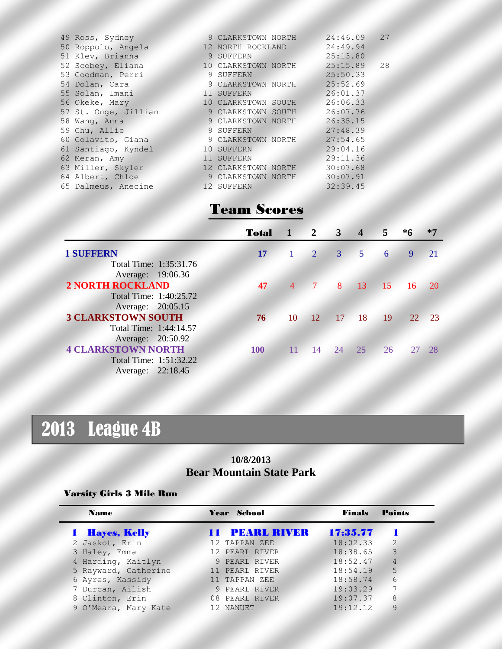| 49 Ross, Sydney      | 9 CLARKSTOWN NORTH  | 24:46.09 | 27 |
|----------------------|---------------------|----------|----|
|                      |                     |          |    |
| 50 Roppolo, Angela   | 12 NORTH ROCKLAND   | 24:49.94 |    |
| 51 Klev, Brianna     | 9 SUFFERN           | 25:13.80 |    |
| 52 Scobey, Eliana    | 10 CLARKSTOWN NORTH | 25:15.89 | 28 |
| 53 Goodman, Perri    | 9 SUFFERN           | 25:50.33 |    |
| 54 Dolan, Cara       | 9 CLARKSTOWN NORTH  | 25:52.69 |    |
| 55 Solan, Imani      | 11 SUFFERN          | 26:01.37 |    |
| 56 Okeke, Mary       | 10 CLARKSTOWN SOUTH | 26:06.33 |    |
| 57 St. Onge, Jillian | 9 CLARKSTOWN SOUTH  | 26:07.76 |    |
| 58 Wang, Anna        | 9 CLARKSTOWN NORTH  | 26:35.15 |    |
| 59 Chu, Allie        | 9 SUFFERN           | 27:48.39 |    |
| 60 Colavito, Giana   | 9 CLARKSTOWN NORTH  | 27:54.65 |    |
| 61 Santiago, Kyndel  | 10 SUFFERN          | 29:04.16 |    |
| 62 Meran, Amy        | 11 SUFFERN          | 29:11.36 |    |
| 63 Miller, Skyler    | 12 CLARKSTOWN NORTH | 30:07.68 |    |
| 64 Albert, Chloe     | 9 CLARKSTOWN NORTH  | 30:07.91 |    |
| 65 Dalmeus, Anecine  | 12 SUFFERN          | 32:39.45 |    |
|                      |                     |          |    |

### Team Scores

|                           | <b>Total</b> | $\mathbf{1}$   | $\mathbb{Z}^2$ | $\mathbf{3}$ | $\overline{\mathbf{4}}$ | $5 -$           | *6 | *7        |
|---------------------------|--------------|----------------|----------------|--------------|-------------------------|-----------------|----|-----------|
| <b>1 SUFFERN</b>          | 17           |                | $\overline{2}$ | 3            | 5 <sup>1</sup>          | 6               | -9 | -21       |
| Total Time: 1:35:31.76    |              |                |                |              |                         |                 |    |           |
| Average: 19:06.36         |              |                |                |              |                         |                 |    |           |
| <b>2 NORTH ROCKLAND</b>   | 47           | $\overline{4}$ | $\overline{7}$ | 8            | 13                      | 15 <sup>′</sup> | 16 | <b>20</b> |
| Total Time: 1:40:25.72    |              |                |                |              |                         |                 |    |           |
| Average: 20:05.15         |              |                |                |              |                         |                 |    |           |
| <b>3 CLARKSTOWN SOUTH</b> | 76           | 10             | <sup>12</sup>  | 17           | 18                      | 19 <sup>7</sup> | 22 | $\geq$ 23 |
| Total Time: 1:44:14.57    |              |                |                |              |                         |                 |    |           |
| Average: 20:50.92         |              |                |                |              |                         |                 |    |           |
| <b>4 CLARKSTOWN NORTH</b> | 100          | 11             | 14             | 24           | 25                      | 26              |    | -28       |
| Total Time: 1:51:32.22    |              |                |                |              |                         |                 |    |           |
| Average: 22:18.45         |              |                |                |              |                         |                 |    |           |

# 2013 League 4B

### **10/8/2013 Bear Mountain State Park**

#### Varsity Girls 3 Mile Run

| <b>Name</b>           | Year School           | <b>Finals</b> | <b>Points</b>   |
|-----------------------|-----------------------|---------------|-----------------|
| <b>1 Hayes, Kelly</b> | <b>11 PEARL RIVER</b> | 17:35.77      |                 |
| 2 Jaskot, Erin        | 12 TAPPAN ZEE         | 18:02.33      | 2               |
| 3 Haley, Emma         | 12 PEARL RIVER        | 18:38.65      | 3               |
| 4 Harding, Kaitlyn    | 9 PEARL RIVER         | 18:52.47      | $\overline{4}$  |
| 5 Rayward, Catherine  | 11 PEARL RIVER        | 18:54.19      | 5               |
| 6 Ayres, Kassidy      | 11 TAPPAN ZEE         | 18:58.74      | $6\overline{6}$ |
| 7 Durcan, Ailish      | 9 PEARL RIVER         | 19:03.29      | 7               |
| 8 Clinton, Erin       | 08 PEARL RIVER        | 19:07.37      | 8               |
| 9 O'Meara, Mary Kate  | 12 NANUET             | 19:12.12      | 9               |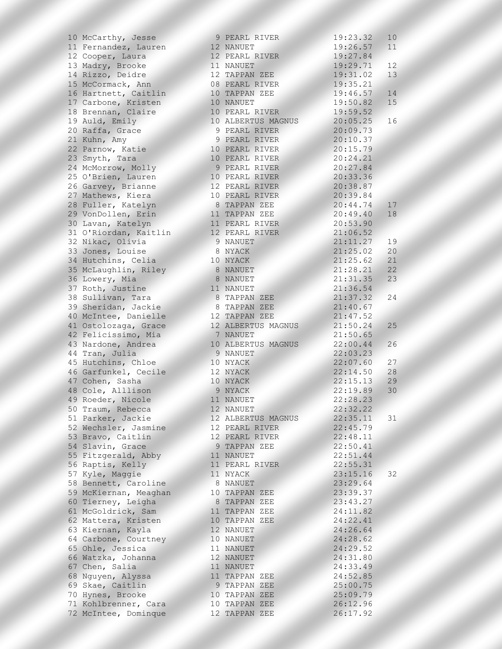| 10 McCarthy, Jesse    | 9 PEARL RIVER      | 19:23.32 | 10 <sup>°</sup> |
|-----------------------|--------------------|----------|-----------------|
| 11 Fernandez, Lauren  | 12 NANUET          | 19:26.57 | 11              |
| 12 Cooper, Laura      | 12 PEARL RIVER     | 19:27.84 |                 |
| 13 Madry, Brooke      | 11 NANUET          | 19:29.71 | 12              |
| 14 Rizzo, Deidre      | 12 TAPPAN ZEE      | 19:31.02 | 13              |
| 15 McCormack, Ann     | 08 PEARL RIVER     | 19:35.21 |                 |
| 16 Hartnett, Caitlin  | 10 TAPPAN ZEE      | 19:46.57 | 14              |
| 17 Carbone, Kristen   | 10 NANUET          | 19:50.82 | 15              |
| 18 Brennan, Claire    | 10 PEARL RIVER     | 19:59.52 |                 |
| 19 Auld, Emily        | 10 ALBERTUS MAGNUS | 20:05.25 | 16              |
| 20 Raffa, Grace       | 9 PEARL RIVER      | 20:09.73 |                 |
| 21 Kuhn, Amy          | 9 PEARL RIVER      | 20:10.37 |                 |
| 22 Parnow, Katie      | 10 PEARL RIVER     | 20:15.79 |                 |
| 23 Smyth, Tara        | 10 PEARL RIVER     | 20:24.21 |                 |
| 24 McMorrow, Molly    | 9 PEARL RIVER      | 20:27.84 |                 |
| 25 O'Brien, Lauren    | 10 PEARL RIVER     | 20:33.36 |                 |
| 26 Garvey, Brianne    | 12 PEARL RIVER     | 20:38.87 |                 |
| 27 Mathews, Kiera     | 10 PEARL RIVER     | 20:39.84 |                 |
| 28 Fuller, Katelyn    | 8 TAPPAN ZEE       | 20:44.74 | 17              |
| 29 VonDollen, Erin    | 11 TAPPAN ZEE      | 20:49.40 | 18              |
| 30 Lavan, Katelyn     | 11 PEARL RIVER     | 20:53.90 |                 |
| 31 O'Riordan, Kaitlin | 12 PEARL RIVER     | 21:06.52 |                 |
| 32 Nikac, Olivia      | 9 NANUET           | 21:11.27 | 19              |
| 33 Jones, Louise      | 8 NYACK            | 21:25.02 | 20              |
| 34 Hutchins, Celia    | 10 NYACK           | 21:25.62 | 21              |
| 35 McLaughlin, Riley  | 8 NANUET           | 21:28.21 | 22              |
| 36 Lowery, Mia        | 8 NANUET           | 21:31.35 | 23              |
| 37 Roth, Justine      | 11 NANUET          | 21:36.54 |                 |
| 38 Sullivan, Tara     | 8 TAPPAN ZEE       | 21:37.32 | 24              |
| 39 Sheridan, Jackie   | 8 TAPPAN ZEE       | 21:40.67 |                 |
| 40 McIntee, Danielle  | 12 TAPPAN ZEE      | 21:47.52 |                 |
| 41 Ostolozaga, Grace  | 12 ALBERTUS MAGNUS | 21:50.24 | 25              |
| 42 Felicissimo, Mia   | 7 NANUET           | 21:50.65 |                 |
| 43 Nardone, Andrea    | 10 ALBERTUS MAGNUS | 22:00.44 | 26              |
| 44 Tran, Julia        | 9 NANUET           | 22:03.23 |                 |
| 45 Hutchins, Chloe    | 10 NYACK           | 22:07.60 | 27              |
| 46 Garfunkel, Cecile  | 12 NYACK           | 22:14.50 | 28              |
| 47 Cohen, Sasha       | 10 NYACK           | 22:15.13 | 29              |
| 48 Cole, Alllison     | 9 NYACK            | 22:19.89 | 30              |
| 49 Roeder, Nicole     | 11 NANUET          | 22:28.23 |                 |
| 50 Traum, Rebecca     | 12 NANUET          | 22:32.22 |                 |
| 51 Parker, Jackie     | 12 ALBERTUS MAGNUS | 22:35.11 | 31              |
| 52 Wechsler, Jasmine  | 12 PEARL RIVER     | 22:45.79 |                 |
| 53 Bravo, Caitlin     | 12 PEARL RIVER     | 22:48.11 |                 |
| 54 Slavin, Grace      | 9 TAPPAN ZEE       | 22:50.41 |                 |
| 55 Fitzgerald, Abby   | 11 NANUET          | 22:51.44 |                 |
| 56 Raptis, Kelly      | 11 PEARL RIVER     | 22:55.31 |                 |
| 57 Kyle, Maggie       | 11 NYACK           | 23:15.16 | 32              |
| 58 Bennett, Caroline  | 8 NANUET           | 23:29.64 |                 |
| 59 McKiernan, Meaghan | 10 TAPPAN ZEE      | 23:39.37 |                 |
| 60 Tierney, Leigha    | 8 TAPPAN ZEE       | 23:43.27 |                 |
| 61 McGoldrick, Sam    | 11 TAPPAN ZEE      | 24:11.82 |                 |
| 62 Mattera, Kristen   | 10 TAPPAN ZEE      | 24:22.41 |                 |
| 63 Kiernan, Kayla     | 12 NANUET          | 24:26.64 |                 |
| 64 Carbone, Courtney  | 10 NANUET          | 24:28.62 |                 |
| 65 Ohle, Jessica      | 11 NANUET          | 24:29.52 |                 |
| 66 Watzka, Johanna    |                    | 24:31.80 |                 |
|                       | 12 NANUET          |          |                 |
| 67 Chen, Salia        | 11 NANUET          | 24:33.49 |                 |
| 68 Nguyen, Alyssa     | 11 TAPPAN ZEE      | 24:52.85 |                 |
| 69 Skae, Caitlin      | 9 TAPPAN ZEE       | 25:00.75 |                 |
| 70 Hynes, Brooke      | 10 TAPPAN ZEE      | 25:09.79 |                 |
| 71 Kohlbrenner, Cara  | 10 TAPPAN ZEE      | 26:12.96 |                 |
| 72 McIntee, Dominque  | 12 TAPPAN ZEE      | 26:17.92 |                 |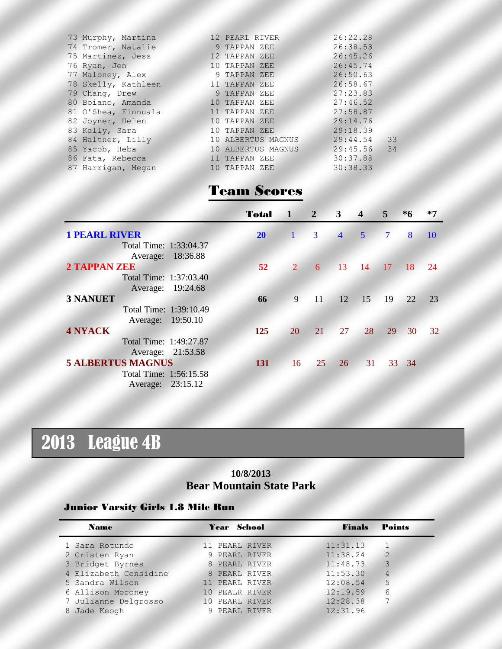| 73 Murphy, Martina  | 12 PEARL RIVER     | 26:22.28      |    |
|---------------------|--------------------|---------------|----|
| 74 Tromer, Natalie  | 9 TAPPAN ZEE       | 26:38.53      |    |
| 75 Martinez, Jess   | 12 TAPPAN ZEE      | 26:45.26      |    |
| 76 Ryan, Jen        | 10 TAPPAN ZEE      | 26:45.74      |    |
| 77 Maloney, Alex    | 9 TAPPAN ZEE       | 26:50.63      |    |
| 78 Skelly, Kathleen | 11 TAPPAN ZEE      | 26:58.67      |    |
| 79 Chang, Drew      | 9 TAPPAN ZEE       | 27:23.83      |    |
| 80 Boiano, Amanda   | 10 TAPPAN ZEE      | 27:46.52      |    |
| 81 O'Shea, Finnuala | 11 TAPPAN ZEE      | 27:58.87      |    |
| 82 Joyner, Helen    | 10 TAPPAN ZEE      | 29:14.76      |    |
| 83 Kelly, Sara      | 10 TAPPAN ZEE      | 29:18.39      |    |
| 84 Haltner, Lilly   | 10 ALBERTUS MAGNUS | 29:44.54      | 33 |
| 85 Yacob, Heba      | 10 ALBERTUS MAGNUS | $29:45.56$ 34 |    |
| 86 Fata, Rebecca    | 11 TAPPAN ZEE      | 30:37.88      |    |
| 87 Harrigan, Megan  | 10 TAPPAN ZEE      | 30:38.33      |    |
|                     |                    |               |    |

## Team Scores

|                          | <b>Total</b>    | $\vert A \vert$ | $\overline{2}$ | 3               | $\overline{4}$ | 5 <sup>7</sup> | $*6$  | $*7$        |
|--------------------------|-----------------|-----------------|----------------|-----------------|----------------|----------------|-------|-------------|
| <b>1 PEARL RIVER</b>     | 20 <sup>°</sup> | $\mathbf{1}$    | 3              | $\overline{4}$  | $\overline{5}$ | $7\phantom{.}$ | 8     | -10         |
| Total Time: 1:33:04.37   |                 |                 |                |                 |                |                |       |             |
| Average: 18:36.88        |                 |                 |                |                 |                |                |       |             |
| <b>2 TAPPAN ZEE</b>      | 52              | $\overline{2}$  | 6              | 13              | -14            | 17             | $-18$ | $\sqrt{24}$ |
| Total Time: 1:37:03.40   |                 |                 |                |                 |                |                |       |             |
| 19:24.68<br>Average:     |                 |                 |                |                 |                |                |       |             |
| <b>3 NANUET</b>          | 66              | 9               | 11             | 12 <sup>7</sup> | 15             | 19             | 22    | 23          |
| Total Time: 1:39:10.49   |                 |                 |                |                 |                |                |       |             |
| Average: 19:50.10        |                 |                 |                |                 |                |                |       |             |
| <b>4 NYACK</b>           | 125             | 20              | 21             | 27              | 28             | 29             | 30    | 32          |
| Total Time: 1:49:27.87   |                 |                 |                |                 |                |                |       |             |
| Average: 21:53.58        |                 |                 |                |                 |                |                |       |             |
| <b>5 ALBERTUS MAGNUS</b> | <b>131</b>      | 16              | 25             | 26              | 31             |                | 33 34 |             |
| Total Time: 1:56:15.58   |                 |                 |                |                 |                |                |       |             |
| Average: 23:15.12        |                 |                 |                |                 |                |                |       |             |

# 2013 League 4B

### **10/8/2013 Bear Mountain State Park**

#### Junior Varsity Girls 1.8 Mile Run

| <b>Name</b>           | Year School    | <b>Points</b><br>Finals    |
|-----------------------|----------------|----------------------------|
| 1 Sara Rotundo        | 11 PEARL RIVER | 11:31.13                   |
| 2 Cristen Ryan        | 9 PEARL RIVER  | 11:38.24<br>$\overline{2}$ |
| 3 Bridget Byrnes      | 8 PEARL RIVER  | 3<br>11:48.73              |
| 4 Elizabeth Considine | 8 PEARL RIVER  | 11:53.30<br>$\overline{4}$ |
| 5 Sandra Wilson       | 11 PEARL RIVER | 5<br>12:08.54              |
| 6 Allison Moroney     | 10 PEALR RIVER | 12:19.59<br>6              |
| 7 Julianne Delgrosso  | 10 PEARL RIVER | 12:28.38                   |
| Jade Keogh<br>8       | 9 PEARL RIVER  | 12:31.96                   |